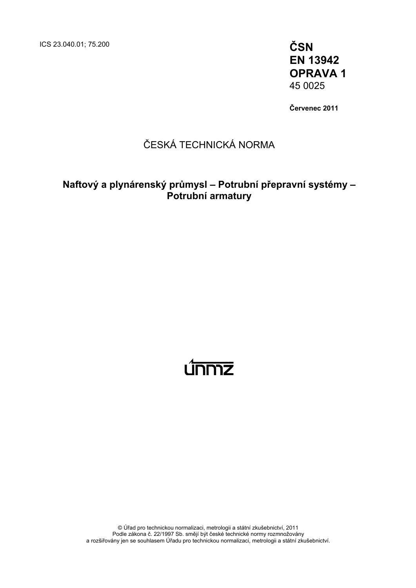ICS 23.040.01; 75.200 **ČSN** 

**EN 13942 OPRAVA 1**  45 0025

**Červenec 2011** 

## ČESKÁ TECHNICKÁ NORMA

### **Naftový a plynárenský průmysl – Potrubní přepravní systémy – Potrubní armatury**

# <u>únmz</u>

© Úřad pro technickou normalizaci, metrologii a státní zkušebnictví, 2011 Podle zákona č. 22/1997 Sb. smějí být české technické normy rozmnožovány a rozšiřovány jen se souhlasem Úřadu pro technickou normalizaci, metrologii a státní zkušebnictví.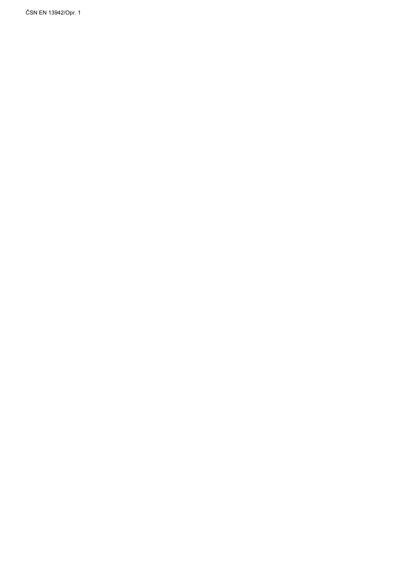ČSN EN 13942/Opr. 1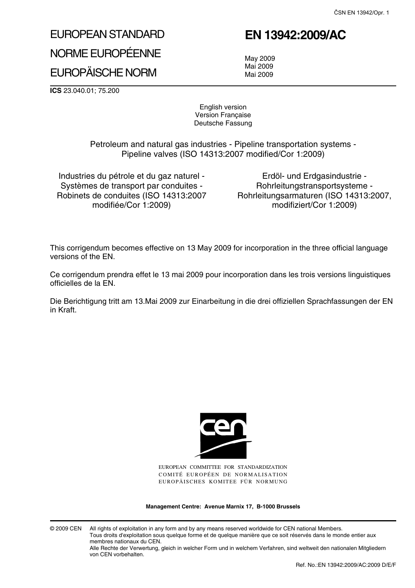# EUROPEAN STANDARD

# NORME EUROPÉENNE EUROPÄISCHE NORM

# **EN 13942:2009/AC**

May 2009 Mai 2009 Mai 2009

**ICS** 23.040.01; 75.200

English version Version Française Deutsche Fassung

Petroleum and natural gas industries - Pipeline transportation systems - Pipeline valves (ISO 14313:2007 modified/Cor 1:2009)

Industries du pétrole et du gaz naturel - Systèmes de transport par conduites - Robinets de conduites (ISO 14313:2007 modifiée/Cor 1:2009)

Erdöl- und Erdgasindustrie - Rohrleitungstransportsysteme - Rohrleitungsarmaturen (ISO 14313:2007, modifiziert/Cor 1:2009)

This corrigendum becomes effective on 13 May 2009 for incorporation in the three official language versions of the EN.

Ce corrigendum prendra effet le 13 mai 2009 pour incorporation dans les trois versions linguistiques officielles de la EN.

Die Berichtigung tritt am 13.Mai 2009 zur Einarbeitung in die drei offiziellen Sprachfassungen der EN in Kraft.



EUROPEAN COMMITTEE FOR STANDARDIZATION COMITÉ EUROPÉEN DE NORMALISATION EUROPÄISCHES KOMITEE FÜR NORMUNG

**Management Centre: Avenue Marnix 17, B-1000 Brussels**

© 2009 CEN All rights of exploitation in any form and by any means reserved worldwide for CEN national Members. Tous droits d'exploitation sous quelque forme et de quelque manière que ce soit réservés dans le monde entier aux membres nationaux du CEN.

Alle Rechte der Verwertung, gleich in welcher Form und in welchem Verfahren, sind weltweit den nationalen Mitgliedern von CEN vorbehalten.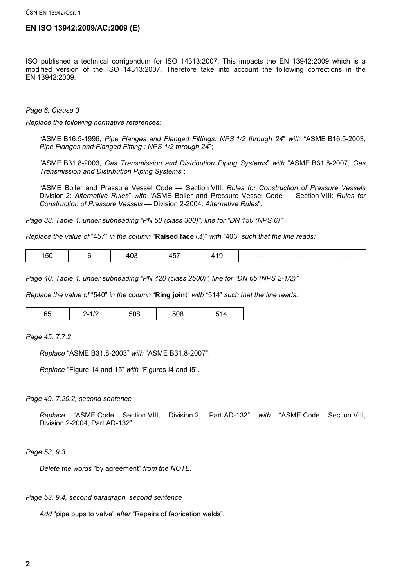#### **EN ISO 13942:2009/AC:2009 (E)**

ISO published a technical corrigendum for ISO 14313:2007. This impacts the EN 13942:2009 which is a modified version of the ISO 14313:2007. Therefore take into account the following corrections in the EN 13942:2009.

*Page 6, Clause 3* 

*Replace the following normative references:* 

"ASME B16.5-1996, *Pipe Flanges and Flanged Fittings: NPS 1/2 through 24*" *with* "ASME B16.5-2003, *Pipe Flanges and Flanged Fitting : NPS 1/2 through 24*";

"ASME B31.8-2003, *Gas Transmission and Distribution Piping Systems*" *with* "ASME B31.8-2007, *Gas Transmission and Distribution Piping Systems*";

"ASME Boiler and Pressure Vessel Code — Section VIII: *Rules for Construction of Pressure Vessels*  Division 2: *Alternative Rules*" *with* "ASME Boiler and Pressure Vessel Code — Section VIII: *Rules for Construction of Pressure Vessels —* Division 2-2004: *Alternative Rules*".

*Page 38, Table 4, under subheading "PN 50 (class 300)", line for "DN 150 (NPS 6)"* 

*Replace the value of* "457" *in the column* "**Raised face** (*A*)" *with* "403" *such that the line reads:*

| $\overline{\phantom{a}}$<br>$-2$<br>403<br>119<br>150<br>⊿ ⊳<br>$\sim$<br>$\sim$ $\sim$ $\sim$ $\sim$ $\sim$<br>$\sim$ $\sim$ $\sim$ $\sim$ $\sim$ $\sim$<br>וטד<br>$ -$<br>$\sim$ |
|------------------------------------------------------------------------------------------------------------------------------------------------------------------------------------|
|------------------------------------------------------------------------------------------------------------------------------------------------------------------------------------|

*Page 40, Table 4, under subheading "PN 420 (class 2500)", line for "DN 65 (NPS 2-1/2)"* 

*Replace the value of* "540" *in the column* "**Ring joint**" *with* "514" *such that the line reads:*

| ~ | $\overline{\phantom{a}}$<br>_ … | n r<br>UC |  |
|---|---------------------------------|-----------|--|
|   |                                 |           |  |

*Page 45, 7.7.2* 

*Replace* "ASME B31.8-2003" *with* "ASME B31.8-2007".

*Replace* "Figure 14 and 15" *with* "Figures I4 and I5".

#### *Page 49, 7.20.2, second sentence*

*Replace* "ASME Code Section VIII, Division 2, Part AD-132" *with* "ASME Code Section VIII, Division 2-2004, Part AD-132".

*Page 53, 9.3* 

*Delete the words* "by agreement" *from the NOTE.*

#### *Page 53, 9.4, second paragraph, second sentence*

*Add* "pipe pups to valve" *after* "Repairs of fabrication welds".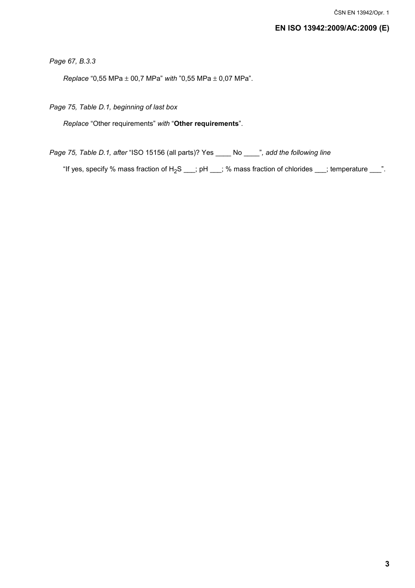#### **EN ISO 13942:2009/AC:2009 (E)**

*Page 67, B.3.3* 

*Replace* "0,55 MPa ± 00,7 MPa" *with* "0,55 MPa ± 0,07 MPa".

*Page 75, Table D.1, beginning of last box* 

*Replace* "Other requirements" *with* "**Other requirements**".

*Page 75, Table D.1, after* "ISO 15156 (all parts)? Yes \_\_\_\_ No \_\_\_\_"*, add the following line* 

"If yes, specify % mass fraction of  $H_2S$  \_\_\_; pH \_\_\_; % mass fraction of chlorides \_\_\_; temperature \_\_\_".